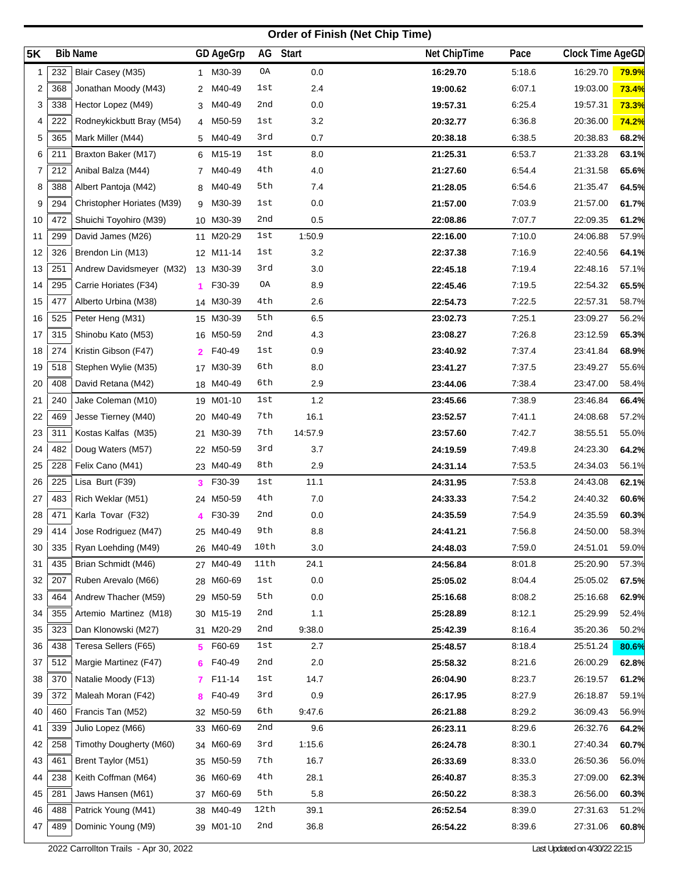## **Order of Finish (Net Chip Time)**

| <b>5K</b> |     | <b>Bib Name</b>            |                | GD AgeGrp | AG   | <b>Start</b> | Net ChipTime | Pace   | Clock Time AgeGD |              |
|-----------|-----|----------------------------|----------------|-----------|------|--------------|--------------|--------|------------------|--------------|
| 1         | 232 | Blair Casey (M35)          |                | 1 M30-39  | OA   | 0.0          | 16:29.70     | 5:18.6 | 16:29.70         | <b>79.9%</b> |
| 2         | 368 | Jonathan Moody (M43)       | 2              | M40-49    | 1st  | 2.4          | 19:00.62     | 6:07.1 | 19:03.00         | 73.4%        |
| 3         | 338 | Hector Lopez (M49)         | 3              | M40-49    | 2nd  | 0.0          | 19:57.31     | 6:25.4 | 19:57.31         | 73.3%        |
| 4         | 222 | Rodneykickbutt Bray (M54)  | 4              | M50-59    | 1st  | 3.2          | 20:32.77     | 6:36.8 | 20:36.00         | 74.2%        |
| 5         | 365 | Mark Miller (M44)          |                | 5 M40-49  | 3rd  | 0.7          | 20:38.18     | 6:38.5 | 20:38.83         | 68.2%        |
| 6         | 211 | Braxton Baker (M17)        |                | 6 M15-19  | 1st  | 8.0          | 21:25.31     | 6:53.7 | 21:33.28         | 63.1%        |
| 7         | 212 | Anibal Balza (M44)         | 7              | M40-49    | 4th  | 4.0          | 21:27.60     | 6:54.4 | 21:31.58         | 65.6%        |
| 8         | 388 | Albert Pantoja (M42)       | 8              | M40-49    | 5th  | 7.4          | 21:28.05     | 6:54.6 | 21:35.47         | 64.5%        |
| 9         | 294 | Christopher Horiates (M39) | 9              | M30-39    | 1st  | 0.0          | 21:57.00     | 7:03.9 | 21:57.00         | 61.7%        |
| 10        | 472 | Shuichi Toyohiro (M39)     |                | 10 M30-39 | 2nd  | 0.5          | 22:08.86     | 7:07.7 | 22:09.35         | 61.2%        |
| 11        | 299 | David James (M26)          | 11             | M20-29    | 1st  | 1:50.9       | 22:16.00     | 7:10.0 | 24:06.88         | 57.9%        |
| 12        | 326 | Brendon Lin (M13)          |                | 12 M11-14 | 1st  | 3.2          | 22:37.38     | 7:16.9 | 22:40.56         | 64.1%        |
| 13        | 251 | Andrew Davidsmeyer (M32)   |                | 13 M30-39 | 3rd  | 3.0          | 22:45.18     | 7:19.4 | 22:48.16         | 57.1%        |
| 14        | 295 | Carrie Horiates (F34)      | 1.             | F30-39    | ΟA   | 8.9          | 22:45.46     | 7:19.5 | 22:54.32         | 65.5%        |
| 15        | 477 | Alberto Urbina (M38)       |                | 14 M30-39 | 4th  | 2.6          | 22:54.73     | 7:22.5 | 22:57.31         | 58.7%        |
| 16        | 525 | Peter Heng (M31)           |                | 15 M30-39 | 5th  | 6.5          | 23:02.73     | 7:25.1 | 23:09.27         | 56.2%        |
| 17        | 315 | Shinobu Kato (M53)         |                | 16 M50-59 | 2nd  | 4.3          | 23:08.27     | 7:26.8 | 23:12.59         | 65.3%        |
| 18        | 274 | Kristin Gibson (F47)       | $\mathbf{2}^-$ | F40-49    | 1st  | 0.9          | 23:40.92     | 7:37.4 | 23:41.84         | 68.9%        |
| 19        | 518 | Stephen Wylie (M35)        |                | 17 M30-39 | 6th  | 8.0          | 23:41.27     | 7:37.5 | 23:49.27         | 55.6%        |
| 20        | 408 | David Retana (M42)         |                | 18 M40-49 | 6th  | 2.9          | 23:44.06     | 7:38.4 | 23:47.00         | 58.4%        |
| 21        | 240 | Jake Coleman (M10)         |                | 19 M01-10 | 1st  | 1.2          | 23:45.66     | 7:38.9 | 23:46.84         | 66.4%        |
| 22        | 469 | Jesse Tierney (M40)        |                | 20 M40-49 | 7th  | 16.1         | 23:52.57     | 7:41.1 | 24:08.68         | 57.2%        |
| 23        | 311 | Kostas Kalfas (M35)        | 21             | M30-39    | 7th  | 14:57.9      | 23:57.60     | 7:42.7 | 38:55.51         | 55.0%        |
| 24        | 482 | Doug Waters (M57)          |                | 22 M50-59 | 3rd  | 3.7          | 24:19.59     | 7:49.8 | 24:23.30         | 64.2%        |
| 25        | 228 | Felix Cano (M41)           |                | 23 M40-49 | 8th  | 2.9          | 24:31.14     | 7:53.5 | 24:34.03         | 56.1%        |
| 26        | 225 | Lisa Burt (F39)            | 3              | F30-39    | 1st  | 11.1         | 24:31.95     | 7:53.8 | 24:43.08         | 62.1%        |
| 27        | 483 | Rich Weklar (M51)          |                | 24 M50-59 | 4th  | 7.0          | 24:33.33     | 7:54.2 | 24:40.32         | 60.6%        |
| 28        | 471 | Karla Tovar (F32)          | 4              | F30-39    | 2nd  | 0.0          | 24:35.59     | 7:54.9 | 24:35.59         | 60.3%        |
| 29        | 414 | Jose Rodriguez (M47)       |                | 25 M40-49 | 9th  | 8.8          | 24:41.21     | 7:56.8 | 24:50.00         | 58.3%        |
| 30        | 335 | Ryan Loehding (M49)        |                | 26 M40-49 | 10th | 3.0          | 24:48.03     | 7:59.0 | 24:51.01         | 59.0%        |
| 31        | 435 | Brian Schmidt (M46)        |                | 27 M40-49 | 11th | 24.1         | 24:56.84     | 8:01.8 | 25:20.90         | 57.3%        |
| 32        | 207 | Ruben Arevalo (M66)        |                | 28 M60-69 | 1st  | 0.0          | 25:05.02     | 8:04.4 | 25:05.02         | 67.5%        |
| 33        | 464 | Andrew Thacher (M59)       |                | 29 M50-59 | 5th  | 0.0          | 25:16.68     | 8:08.2 | 25:16.68         | 62.9%        |
| 34        | 355 | Artemio Martinez (M18)     |                | 30 M15-19 | 2nd  | 1.1          | 25:28.89     | 8:12.1 | 25:29.99         | 52.4%        |
| 35        | 323 | Dan Klonowski (M27)        |                | 31 M20-29 | 2nd  | 9:38.0       | 25:42.39     | 8:16.4 | 35:20.36         | 50.2%        |
| 36        | 438 | Teresa Sellers (F65)       | 5              | F60-69    | 1st  | 2.7          | 25:48.57     | 8:18.4 | 25:51.24         | 80.6%        |
| 37        | 512 | Margie Martinez (F47)      | 6.             | F40-49    | 2nd  | 2.0          | 25:58.32     | 8:21.6 | 26:00.29         | 62.8%        |
| 38        | 370 | Natalie Moody (F13)        | 7.             | F11-14    | 1st  | 14.7         | 26:04.90     | 8:23.7 | 26:19.57         | 61.2%        |
| 39        | 372 | Maleah Moran (F42)         | 8              | F40-49    | 3rd  | 0.9          | 26:17.95     | 8:27.9 | 26:18.87         | 59.1%        |
| 40        | 460 | Francis Tan (M52)          |                | 32 M50-59 | 6th  | 9:47.6       | 26:21.88     | 8:29.2 | 36:09.43         | 56.9%        |
| 41        | 339 | Julio Lopez (M66)          |                | 33 M60-69 | 2nd  | 9.6          | 26:23.11     | 8:29.6 | 26:32.76         | 64.2%        |
| 42        | 258 | Timothy Dougherty (M60)    |                | 34 M60-69 | 3rd  | 1:15.6       | 26:24.78     | 8:30.1 | 27:40.34         | 60.7%        |
| 43        | 461 | Brent Taylor (M51)         |                | 35 M50-59 | 7th  | 16.7         | 26:33.69     | 8:33.0 | 26:50.36         | 56.0%        |
| 44        | 238 | Keith Coffman (M64)        |                | 36 M60-69 | 4th  | 28.1         | 26:40.87     | 8:35.3 | 27:09.00         | 62.3%        |
| 45        | 281 | Jaws Hansen (M61)          |                | 37 M60-69 | 5th  | 5.8          | 26:50.22     | 8:38.3 | 26:56.00         | 60.3%        |
| 46        | 488 | Patrick Young (M41)        |                | 38 M40-49 | 12th | 39.1         | 26:52.54     | 8:39.0 | 27:31.63         | 51.2%        |
| 47        | 489 | Dominic Young (M9)         |                | 39 M01-10 | 2nd  | 36.8         | 26:54.22     | 8:39.6 | 27:31.06         | 60.8%        |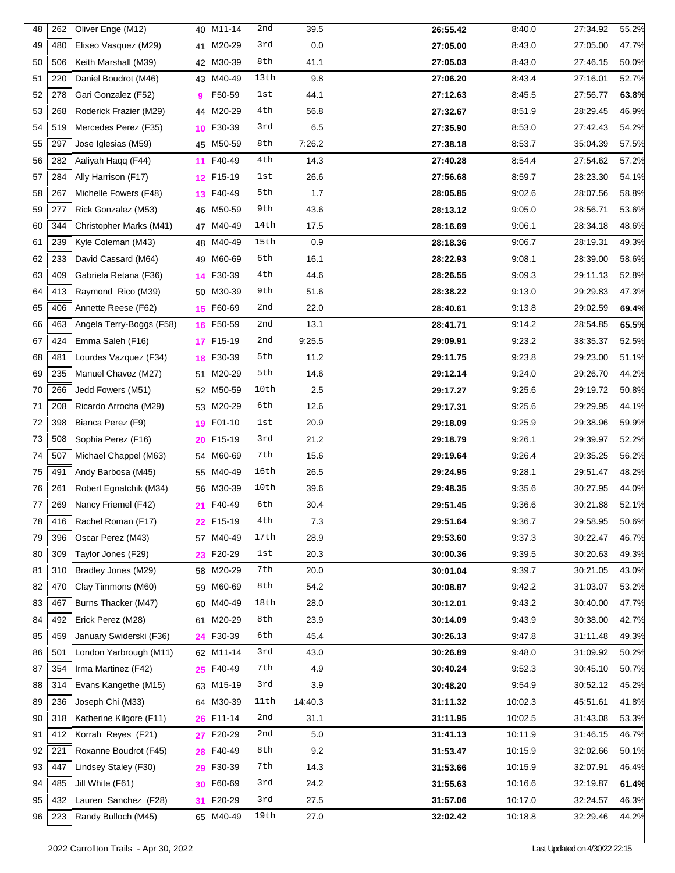| 48 | 262 | Oliver Enge (M12)        |    | 40 M11-14 | 2nd  | 39.5    | 26:55.42 | 8:40.0  | 27:34.92 | 55.2% |
|----|-----|--------------------------|----|-----------|------|---------|----------|---------|----------|-------|
| 49 | 480 | Eliseo Vasquez (M29)     | 41 | M20-29    | 3rd  | 0.0     | 27:05.00 | 8:43.0  | 27:05.00 | 47.7% |
| 50 | 506 | Keith Marshall (M39)     |    | 42 M30-39 | 8th  | 41.1    | 27:05.03 | 8:43.0  | 27:46.15 | 50.0% |
| 51 | 220 | Daniel Boudrot (M46)     |    | 43 M40-49 | 13th | 9.8     | 27:06.20 | 8:43.4  | 27:16.01 | 52.7% |
| 52 | 278 | Gari Gonzalez (F52)      | 9  | F50-59    | lst  | 44.1    | 27:12.63 | 8:45.5  | 27:56.77 | 63.8% |
| 53 | 268 | Roderick Frazier (M29)   |    | 44 M20-29 | 4th  | 56.8    | 27:32.67 | 8:51.9  | 28:29.45 | 46.9% |
| 54 | 519 | Mercedes Perez (F35)     | 10 | F30-39    | 3rd  | 6.5     | 27:35.90 | 8:53.0  | 27:42.43 | 54.2% |
| 55 | 297 | Jose Iglesias (M59)      |    | 45 M50-59 | 8th  | 7:26.2  | 27:38.18 | 8:53.7  | 35:04.39 | 57.5% |
| 56 | 282 | Aaliyah Haqq (F44)       | 11 | F40-49    | 4th  | 14.3    | 27:40.28 | 8:54.4  | 27:54.62 | 57.2% |
| 57 | 284 | Ally Harrison (F17)      |    | 12 F15-19 | 1st  | 26.6    | 27:56.68 | 8:59.7  | 28:23.30 | 54.1% |
| 58 | 267 | Michelle Fowers (F48)    | 13 | F40-49    | 5th  | 1.7     | 28:05.85 | 9:02.6  | 28:07.56 | 58.8% |
| 59 | 277 | Rick Gonzalez (M53)      |    | 46 M50-59 | 9th  | 43.6    | 28:13.12 | 9:05.0  | 28:56.71 | 53.6% |
| 60 | 344 | Christopher Marks (M41)  |    | 47 M40-49 | 14th | 17.5    | 28:16.69 | 9:06.1  | 28:34.18 | 48.6% |
| 61 | 239 | Kyle Coleman (M43)       |    | 48 M40-49 | 15th | 0.9     | 28:18.36 | 9:06.7  | 28:19.31 | 49.3% |
| 62 | 233 | David Cassard (M64)      | 49 | M60-69    | 6th  | 16.1    | 28:22.93 | 9:08.1  | 28:39.00 | 58.6% |
| 63 | 409 | Gabriela Retana (F36)    |    | 14 F30-39 | 4th  | 44.6    | 28:26.55 | 9:09.3  | 29:11.13 | 52.8% |
| 64 | 413 | Raymond Rico (M39)       |    | 50 M30-39 | 9th  | 51.6    | 28:38.22 | 9:13.0  | 29:29.83 | 47.3% |
| 65 | 406 | Annette Reese (F62)      |    | 15 F60-69 | 2nd  | 22.0    | 28:40.61 | 9:13.8  | 29:02.59 | 69.4% |
| 66 | 463 | Angela Terry-Boggs (F58) |    | 16 F50-59 | 2nd  | 13.1    | 28:41.71 | 9:14.2  | 28:54.85 | 65.5% |
| 67 | 424 | Emma Saleh (F16)         |    | 17 F15-19 | 2nd  | 9:25.5  | 29:09.91 | 9:23.2  | 38:35.37 | 52.5% |
| 68 | 481 | Lourdes Vazquez (F34)    |    | 18 F30-39 | 5th  | 11.2    | 29:11.75 | 9:23.8  | 29:23.00 | 51.1% |
| 69 | 235 | Manuel Chavez (M27)      |    | 51 M20-29 | 5th  | 14.6    | 29:12.14 | 9:24.0  | 29:26.70 | 44.2% |
| 70 | 266 | Jedd Fowers (M51)        |    | 52 M50-59 | 10th | 2.5     | 29:17.27 | 9:25.6  | 29:19.72 | 50.8% |
| 71 | 208 | Ricardo Arrocha (M29)    |    | 53 M20-29 | 6th  | 12.6    | 29:17.31 | 9:25.6  | 29:29.95 | 44.1% |
| 72 | 398 | Bianca Perez (F9)        | 19 | F01-10    | lst  | 20.9    | 29:18.09 | 9:25.9  | 29:38.96 | 59.9% |
| 73 | 508 | Sophia Perez (F16)       | 20 | F15-19    | 3rd  | 21.2    | 29:18.79 | 9:26.1  | 29:39.97 | 52.2% |
| 74 | 507 | Michael Chappel (M63)    | 54 | M60-69    | 7th  | 15.6    | 29:19.64 | 9:26.4  | 29:35.25 | 56.2% |
| 75 | 491 | Andy Barbosa (M45)       |    | 55 M40-49 | 16th | 26.5    | 29:24.95 | 9:28.1  | 29:51.47 | 48.2% |
| 76 | 261 | Robert Egnatchik (M34)   |    | 56 M30-39 | 10th | 39.6    | 29:48.35 | 9:35.6  | 30:27.95 | 44.0% |
| 77 | 269 | Nancy Friemel (F42)      | 21 | F40-49    | 6th  | 30.4    | 29:51.45 | 9:36.6  | 30:21.88 | 52.1% |
| 78 | 416 | Rachel Roman (F17)       |    | 22 F15-19 | 4th  | 7.3     | 29:51.64 | 9:36.7  | 29:58.95 | 50.6% |
| 79 | 396 | Oscar Perez (M43)        |    | 57 M40-49 | 17th | 28.9    | 29:53.60 | 9:37.3  | 30:22.47 | 46.7% |
| 80 | 309 | Taylor Jones (F29)       |    | 23 F20-29 | lst  | 20.3    | 30:00.36 | 9:39.5  | 30:20.63 | 49.3% |
| 81 | 310 | Bradley Jones (M29)      |    | 58 M20-29 | 7th  | 20.0    | 30:01.04 | 9:39.7  | 30:21.05 | 43.0% |
| 82 | 470 | Clay Timmons (M60)       |    | 59 M60-69 | 8th  | 54.2    | 30:08.87 | 9:42.2  | 31:03.07 | 53.2% |
| 83 | 467 | Burns Thacker (M47)      |    | 60 M40-49 | 18th | 28.0    | 30:12.01 | 9:43.2  | 30:40.00 | 47.7% |
| 84 | 492 | Erick Perez (M28)        |    | 61 M20-29 | 8th  | 23.9    | 30:14.09 | 9:43.9  | 30:38.00 | 42.7% |
| 85 | 459 | January Swiderski (F36)  |    | 24 F30-39 | 6th  | 45.4    | 30:26.13 | 9:47.8  | 31:11.48 | 49.3% |
| 86 | 501 | London Yarbrough (M11)   |    | 62 M11-14 | 3rd  | 43.0    | 30:26.89 | 9:48.0  | 31:09.92 | 50.2% |
| 87 | 354 | Irma Martinez (F42)      |    | 25 F40-49 | 7th  | 4.9     | 30:40.24 | 9:52.3  | 30:45.10 | 50.7% |
| 88 | 314 | Evans Kangethe (M15)     |    | 63 M15-19 | 3rd  | 3.9     | 30:48.20 | 9:54.9  | 30:52.12 | 45.2% |
| 89 | 236 | Joseph Chi (M33)         |    | 64 M30-39 | 11th | 14:40.3 | 31:11.32 | 10:02.3 | 45:51.61 | 41.8% |
| 90 | 318 | Katherine Kilgore (F11)  |    | 26 F11-14 | 2nd  | 31.1    | 31:11.95 | 10:02.5 | 31:43.08 | 53.3% |
| 91 | 412 | Korrah Reyes (F21)       |    | 27 F20-29 | 2nd  | 5.0     | 31:41.13 | 10:11.9 | 31:46.15 | 46.7% |
| 92 | 221 | Roxanne Boudrot (F45)    |    | 28 F40-49 | 8th  | 9.2     | 31:53.47 | 10:15.9 | 32:02.66 | 50.1% |
| 93 | 447 | Lindsey Staley (F30)     | 29 | F30-39    | 7th  | 14.3    | 31:53.66 | 10:15.9 | 32:07.91 | 46.4% |
| 94 | 485 | Jill White (F61)         | 30 | F60-69    | 3rd  | 24.2    | 31:55.63 | 10:16.6 | 32:19.87 | 61.4% |
| 95 | 432 | Lauren Sanchez (F28)     |    | 31 F20-29 | 3rd  | 27.5    | 31:57.06 | 10:17.0 | 32:24.57 | 46.3% |
| 96 | 223 | Randy Bulloch (M45)      |    | 65 M40-49 | 19th | 27.0    | 32:02.42 | 10:18.8 | 32:29.46 | 44.2% |
|    |     |                          |    |           |      |         |          |         |          |       |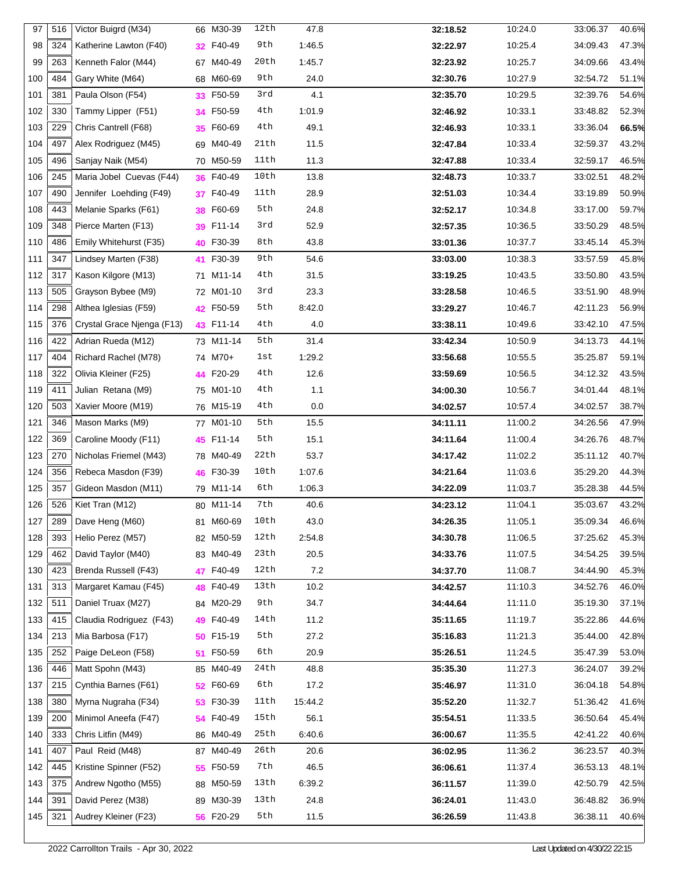| 97  | 516 | Victor Buigrd (M34)        |    | 66 M30-39 | 12th | 47.8    | 32:18.52 | 10:24.0 | 33:06.37 | 40.6% |
|-----|-----|----------------------------|----|-----------|------|---------|----------|---------|----------|-------|
| 98  | 324 | Katherine Lawton (F40)     | 32 | F40-49    | 9th  | 1:46.5  | 32:22.97 | 10:25.4 | 34:09.43 | 47.3% |
| 99  | 263 | Kenneth Falor (M44)        |    | 67 M40-49 | 20th | 1:45.7  | 32:23.92 | 10:25.7 | 34:09.66 | 43.4% |
| 100 | 484 | Gary White (M64)           |    | 68 M60-69 | 9th  | 24.0    | 32:30.76 | 10:27.9 | 32:54.72 | 51.1% |
| 101 | 381 | Paula Olson (F54)          | 33 | F50-59    | 3rd  | 4.1     | 32:35.70 | 10:29.5 | 32:39.76 | 54.6% |
| 102 | 330 | Tammy Lipper (F51)         | 34 | F50-59    | 4th  | 1:01.9  | 32:46.92 | 10:33.1 | 33:48.82 | 52.3% |
| 103 | 229 | Chris Cantrell (F68)       | 35 | F60-69    | 4th  | 49.1    | 32:46.93 | 10:33.1 | 33:36.04 | 66.5% |
| 104 | 497 | Alex Rodriguez (M45)       |    | 69 M40-49 | 21th | 11.5    | 32:47.84 | 10:33.4 | 32:59.37 | 43.2% |
| 105 | 496 | Sanjay Naik (M54)          |    | 70 M50-59 | 11th | 11.3    | 32:47.88 | 10:33.4 | 32:59.17 | 46.5% |
| 106 | 245 | Maria Jobel Cuevas (F44)   | 36 | F40-49    | 10th | 13.8    | 32:48.73 | 10:33.7 | 33:02.51 | 48.2% |
| 107 | 490 | Jennifer Loehding (F49)    | 37 | F40-49    | 11th | 28.9    | 32:51.03 | 10:34.4 | 33:19.89 | 50.9% |
| 108 | 443 | Melanie Sparks (F61)       | 38 | F60-69    | 5th  | 24.8    | 32:52.17 | 10:34.8 | 33:17.00 | 59.7% |
| 109 | 348 | Pierce Marten (F13)        | 39 | F11-14    | 3rd  | 52.9    | 32:57.35 | 10:36.5 | 33:50.29 | 48.5% |
| 110 | 486 | Emily Whitehurst (F35)     |    | 40 F30-39 | 8th  | 43.8    | 33:01.36 | 10:37.7 | 33:45.14 | 45.3% |
| 111 | 347 | Lindsey Marten (F38)       | 41 | F30-39    | 9th  | 54.6    | 33:03.00 | 10:38.3 | 33:57.59 | 45.8% |
| 112 | 317 | Kason Kilgore (M13)        |    | 71 M11-14 | 4th  | 31.5    | 33:19.25 | 10:43.5 | 33:50.80 | 43.5% |
| 113 | 505 | Grayson Bybee (M9)         |    | 72 M01-10 | 3rd  | 23.3    | 33:28.58 | 10:46.5 | 33:51.90 | 48.9% |
| 114 | 298 | Althea Iglesias (F59)      |    | 42 F50-59 | 5th  | 8:42.0  | 33:29.27 | 10:46.7 | 42:11.23 | 56.9% |
| 115 | 376 | Crystal Grace Njenga (F13) |    | 43 F11-14 | 4th  | 4.0     | 33:38.11 | 10:49.6 | 33:42.10 | 47.5% |
| 116 | 422 | Adrian Rueda (M12)         |    | 73 M11-14 | 5th  | 31.4    | 33:42.34 | 10:50.9 | 34:13.73 | 44.1% |
| 117 | 404 | Richard Rachel (M78)       |    | 74 M70+   | 1st  | 1:29.2  | 33:56.68 | 10:55.5 | 35:25.87 | 59.1% |
| 118 | 322 | Olivia Kleiner (F25)       |    | 44 F20-29 | 4th  | 12.6    | 33:59.69 | 10:56.5 | 34:12.32 | 43.5% |
| 119 | 411 | Julian Retana (M9)         |    | 75 M01-10 | 4th  | 1.1     | 34:00.30 | 10:56.7 | 34:01.44 | 48.1% |
| 120 | 503 | Xavier Moore (M19)         |    | 76 M15-19 | 4th  | 0.0     | 34:02.57 | 10.57.4 | 34:02.57 | 38.7% |
| 121 | 346 | Mason Marks (M9)           |    | 77 M01-10 | 5th  | 15.5    | 34:11.11 | 11:00.2 | 34:26.56 | 47.9% |
| 122 | 369 | Caroline Moody (F11)       |    | 45 F11-14 | 5th  | 15.1    | 34:11.64 | 11:00.4 | 34:26.76 | 48.7% |
| 123 | 270 | Nicholas Friemel (M43)     |    | 78 M40-49 | 22th | 53.7    | 34:17.42 | 11:02.2 | 35:11.12 | 40.7% |
| 124 | 356 | Rebeca Masdon (F39)        | 46 | F30-39    | 10th | 1:07.6  | 34:21.64 | 11:03.6 | 35:29.20 | 44.3% |
| 125 | 357 | Gideon Masdon (M11)        |    | 79 M11-14 | 6th  | 1:06.3  | 34:22.09 | 11:03.7 | 35:28.38 | 44.5% |
| 126 | 526 | Kiet Tran (M12)            |    | 80 M11-14 | 7th  | 40.6    | 34:23.12 | 11:04.1 | 35:03.67 | 43.2% |
| 127 | 289 | Dave Heng (M60)            |    | 81 M60-69 | 10th | 43.0    | 34:26.35 | 11:05.1 | 35:09.34 | 46.6% |
| 128 | 393 | Helio Perez (M57)          |    | 82 M50-59 | 12th | 2:54.8  | 34:30.78 | 11:06.5 | 37:25.62 | 45.3% |
| 129 | 462 | David Taylor (M40)         |    | 83 M40-49 | 23th | 20.5    | 34:33.76 | 11:07.5 | 34:54.25 | 39.5% |
| 130 | 423 | Brenda Russell (F43)       | 47 | F40-49    | 12th | 7.2     | 34:37.70 | 11:08.7 | 34:44.90 | 45.3% |
| 131 | 313 | Margaret Kamau (F45)       | 48 | F40-49    | 13th | 10.2    | 34:42.57 | 11:10.3 | 34:52.76 | 46.0% |
| 132 | 511 | Daniel Truax (M27)         |    | 84 M20-29 | 9th  | 34.7    | 34:44.64 | 11:11.0 | 35:19.30 | 37.1% |
| 133 | 415 | Claudia Rodriguez (F43)    | 49 | F40-49    | 14th | 11.2    | 35:11.65 | 11:19.7 | 35:22.86 | 44.6% |
| 134 | 213 | Mia Barbosa (F17)          | 50 | F15-19    | 5th  | 27.2    | 35:16.83 | 11:21.3 | 35:44.00 | 42.8% |
| 135 | 252 | Paige DeLeon (F58)         | 51 | F50-59    | 6th  | 20.9    | 35:26.51 | 11:24.5 | 35:47.39 | 53.0% |
| 136 | 446 | Matt Spohn (M43)           |    | 85 M40-49 | 24th | 48.8    | 35:35.30 | 11:27.3 | 36:24.07 | 39.2% |
| 137 | 215 | Cynthia Barnes (F61)       | 52 | F60-69    | 6th  | 17.2    | 35:46.97 | 11:31.0 | 36:04.18 | 54.8% |
| 138 | 380 | Myrna Nugraha (F34)        | 53 | F30-39    | 11th | 15:44.2 | 35:52.20 | 11:32.7 | 51:36.42 | 41.6% |
| 139 | 200 | Minimol Aneefa (F47)       | 54 | F40-49    | 15th | 56.1    | 35:54.51 | 11:33.5 | 36:50.64 | 45.4% |
| 140 | 333 | Chris Litfin (M49)         |    | 86 M40-49 | 25th | 6:40.6  | 36:00.67 | 11:35.5 | 42:41.22 | 40.6% |
| 141 | 407 | Paul Reid (M48)            |    | 87 M40-49 | 26th | 20.6    | 36:02.95 | 11:36.2 | 36:23.57 | 40.3% |
| 142 | 445 | Kristine Spinner (F52)     | 55 | F50-59    | 7th  | 46.5    | 36:06.61 | 11:37.4 | 36:53.13 | 48.1% |
| 143 | 375 | Andrew Ngotho (M55)        |    | 88 M50-59 | 13th | 6:39.2  | 36:11.57 | 11:39.0 | 42:50.79 | 42.5% |
| 144 | 391 | David Perez (M38)          |    | 89 M30-39 | 13th | 24.8    | 36:24.01 | 11:43.0 | 36:48.82 | 36.9% |
|     | 321 |                            |    |           | 5th  |         |          |         |          |       |
| 145 |     | Audrey Kleiner (F23)       |    | 56 F20-29 |      | 11.5    | 36:26.59 | 11:43.8 | 36:38.11 | 40.6% |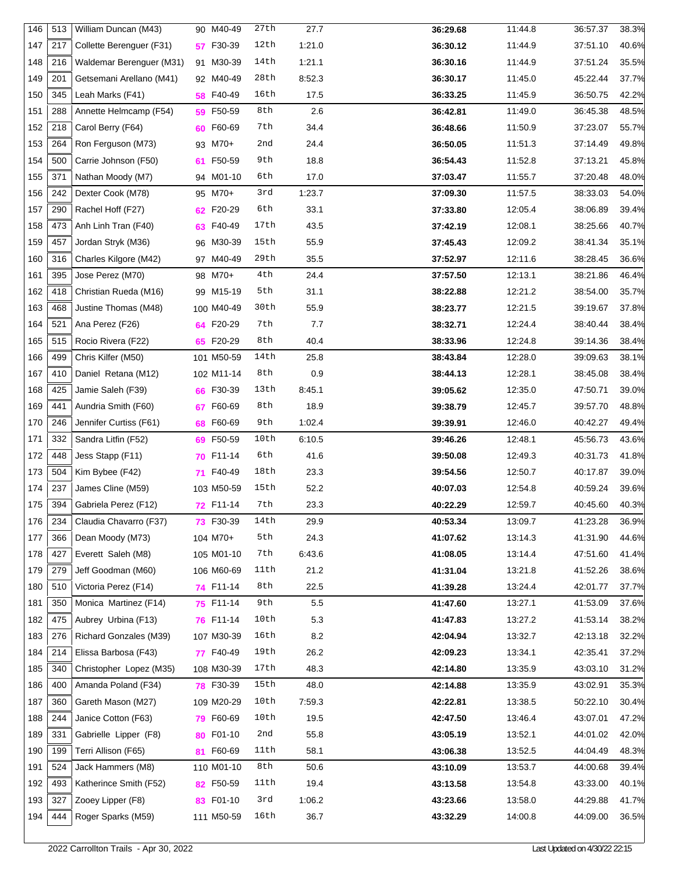| 146 | 513 | William Duncan (M43)     | 90 M40-49     | 27th | 27.7   | 36:29.68 | 11:44.8 | 36:57.37<br>38.3% |  |
|-----|-----|--------------------------|---------------|------|--------|----------|---------|-------------------|--|
| 147 | 217 | Collette Berenguer (F31) | F30-39<br>57  | 12th | 1:21.0 | 36:30.12 | 11:44.9 | 37:51.10<br>40.6% |  |
| 148 | 216 | Waldemar Berenguer (M31) | 91 M30-39     | 14th | 1:21.1 | 36:30.16 | 11:44.9 | 37:51.24<br>35.5% |  |
| 149 | 201 | Getsemani Arellano (M41) | 92 M40-49     | 28th | 8:52.3 | 36:30.17 | 11:45.0 | 45:22.44<br>37.7% |  |
| 150 | 345 | Leah Marks (F41)         | 58 F40-49     | 16th | 17.5   | 36:33.25 | 11:45.9 | 42.2%<br>36:50.75 |  |
| 151 | 288 | Annette Helmcamp (F54)   | 59 F50-59     | 8th  | 2.6    | 36:42.81 | 11:49.0 | 48.5%<br>36:45.38 |  |
| 152 | 218 | Carol Berry (F64)        | F60-69<br>60  | 7th  | 34.4   | 36:48.66 | 11:50.9 | 55.7%<br>37:23.07 |  |
| 153 | 264 | Ron Ferguson (M73)       | 93 M70+       | 2nd  | 24.4   | 36:50.05 | 11:51.3 | 49.8%<br>37:14.49 |  |
| 154 | 500 | Carrie Johnson (F50)     | F50-59<br>61  | 9th  | 18.8   | 36:54.43 | 11:52.8 | 45.8%<br>37:13.21 |  |
| 155 | 371 | Nathan Moody (M7)        | 94 M01-10     | 6th  | 17.0   | 37:03.47 | 11:55.7 | 37:20.48<br>48.0% |  |
| 156 | 242 | Dexter Cook (M78)        | 95 M70+       | 3rd  | 1:23.7 | 37:09.30 | 11:57.5 | 38:33.03<br>54.0% |  |
| 157 | 290 | Rachel Hoff (F27)        | 62 F20-29     | 6th  | 33.1   | 37:33.80 | 12:05.4 | 38:06.89<br>39.4% |  |
| 158 | 473 | Anh Linh Tran (F40)      | F40-49<br>63  | 17th | 43.5   | 37:42.19 | 12:08.1 | 38:25.66<br>40.7% |  |
| 159 | 457 | Jordan Stryk (M36)       | 96 M30-39     | 15th | 55.9   | 37:45.43 | 12:09.2 | 35.1%<br>38:41.34 |  |
| 160 | 316 | Charles Kilgore (M42)    | 97 M40-49     | 29th | 35.5   | 37:52.97 | 12:11.6 | 38:28.45<br>36.6% |  |
| 161 | 395 | Jose Perez (M70)         | 98 M70+       | 4th  | 24.4   | 37:57.50 | 12:13.1 | 38:21.86<br>46.4% |  |
| 162 | 418 | Christian Rueda (M16)    | 99 M15-19     | 5th  | 31.1   | 38:22.88 | 12:21.2 | 38:54.00<br>35.7% |  |
| 163 | 468 | Justine Thomas (M48)     | 100 M40-49    | 30th | 55.9   | 38:23.77 | 12:21.5 | 37.8%<br>39:19.67 |  |
| 164 | 521 | Ana Perez (F26)          | 64 F20-29     | 7th  | 7.7    | 38:32.71 | 12:24.4 | 38.4%<br>38:40.44 |  |
| 165 | 515 | Rocio Rivera (F22)       | 65 F20-29     | 8th  | 40.4   | 38:33.96 | 12:24.8 | 38.4%<br>39:14.36 |  |
| 166 | 499 | Chris Kilfer (M50)       | 101 M50-59    | 14th | 25.8   | 38:43.84 | 12:28.0 | 39:09.63<br>38.1% |  |
| 167 | 410 | Daniel Retana (M12)      | 102 M11-14    | 8th  | 0.9    | 38:44.13 | 12:28.1 | 38.4%<br>38:45.08 |  |
| 168 | 425 | Jamie Saleh (F39)        | F30-39<br>66  | 13th | 8:45.1 | 39:05.62 | 12:35.0 | 47:50.71<br>39.0% |  |
| 169 | 441 | Aundria Smith (F60)      | F60-69<br>67  | 8th  | 18.9   | 39:38.79 | 12:45.7 | 39:57.70<br>48.8% |  |
| 170 | 246 | Jennifer Curtiss (F61)   | F60-69<br>68  | 9th  | 1:02.4 | 39:39.91 | 12:46.0 | 40:42.27<br>49.4% |  |
| 171 | 332 | Sandra Litfin (F52)      | F50-59<br>69  | 10th | 6:10.5 | 39:46.26 | 12:48.1 | 45:56.73<br>43.6% |  |
| 172 | 448 | Jess Stapp (F11)         | F11-14<br>70. | 6th  | 41.6   | 39:50.08 | 12:49.3 | 40:31.73<br>41.8% |  |
| 173 | 504 | Kim Bybee (F42)          | F40-49<br>71  | 18th | 23.3   | 39:54.56 | 12:50.7 | 39.0%<br>40:17.87 |  |
| 174 | 237 | James Cline (M59)        | 103 M50-59    | 15th | 52.2   | 40:07.03 | 12:54.8 | 40:59.24<br>39.6% |  |
| 175 | 394 | Gabriela Perez (F12)     | 72 F11-14     | 7th  | 23.3   | 40:22.29 | 12:59.7 | 40.3%<br>40:45.60 |  |
| 176 | 234 | Claudia Chavarro (F37)   | 73 F30-39     | 14th | 29.9   | 40:53.34 | 13:09.7 | 41:23.28<br>36.9% |  |
| 177 | 366 | Dean Moody (M73)         | 104 M70+      | 5th  | 24.3   | 41:07.62 | 13:14.3 | 41:31.90<br>44.6% |  |
| 178 | 427 | Everett Saleh (M8)       | 105 M01-10    | 7th  | 6:43.6 | 41:08.05 | 13:14.4 | 47:51.60<br>41.4% |  |
| 179 | 279 | Jeff Goodman (M60)       | 106 M60-69    | 11th | 21.2   | 41:31.04 | 13:21.8 | 41:52.26<br>38.6% |  |
| 180 | 510 | Victoria Perez (F14)     | 74 F11-14     | 8th  | 22.5   | 41:39.28 | 13:24.4 | 42:01.77<br>37.7% |  |
| 181 | 350 | Monica Martinez (F14)    | 75 F11-14     | 9th  | 5.5    | 41:47.60 | 13:27.1 | 41:53.09<br>37.6% |  |
| 182 | 475 | Aubrey Urbina (F13)      | 76 F11-14     | 10th | 5.3    | 41:47.83 | 13:27.2 | 41:53.14<br>38.2% |  |
| 183 | 276 | Richard Gonzales (M39)   | 107 M30-39    | 16th | 8.2    | 42:04.94 | 13:32.7 | 42:13.18<br>32.2% |  |
| 184 | 214 | Elissa Barbosa (F43)     | 77 F40-49     | 19th | 26.2   | 42:09.23 | 13:34.1 | 42:35.41<br>37.2% |  |
| 185 | 340 | Christopher Lopez (M35)  | 108 M30-39    | 17th | 48.3   | 42:14.80 | 13:35.9 | 43:03.10<br>31.2% |  |
| 186 | 400 | Amanda Poland (F34)      | 78 F30-39     | 15th | 48.0   | 42:14.88 | 13:35.9 | 43:02.91<br>35.3% |  |
| 187 | 360 | Gareth Mason (M27)       | 109 M20-29    | 10th | 7:59.3 | 42:22.81 | 13:38.5 | 50:22.10<br>30.4% |  |
| 188 | 244 | Janice Cotton (F63)      | 79 F60-69     | 10th | 19.5   | 42:47.50 | 13:46.4 | 43:07.01<br>47.2% |  |
| 189 | 331 | Gabrielle Lipper (F8)    | F01-10<br>80  | 2nd  | 55.8   | 43:05.19 | 13:52.1 | 44:01.02<br>42.0% |  |
| 190 | 199 | Terri Allison (F65)      | 81 F60-69     | 11th | 58.1   | 43:06.38 | 13:52.5 | 44:04.49<br>48.3% |  |
| 191 | 524 | Jack Hammers (M8)        | 110 M01-10    | 8th  | 50.6   | 43:10.09 | 13:53.7 | 39.4%<br>44:00.68 |  |
| 192 | 493 | Katherince Smith (F52)   | 82 F50-59     | 11th | 19.4   | 43:13.58 | 13:54.8 | 40.1%<br>43:33.00 |  |
| 193 | 327 | Zooey Lipper (F8)        | F01-10<br>83  | 3rd  | 1:06.2 | 43:23.66 | 13:58.0 | 44:29.88<br>41.7% |  |
| 194 | 444 | Roger Sparks (M59)       | 111 M50-59    | 16th | 36.7   | 43:32.29 | 14:00.8 | 44:09.00<br>36.5% |  |
|     |     |                          |               |      |        |          |         |                   |  |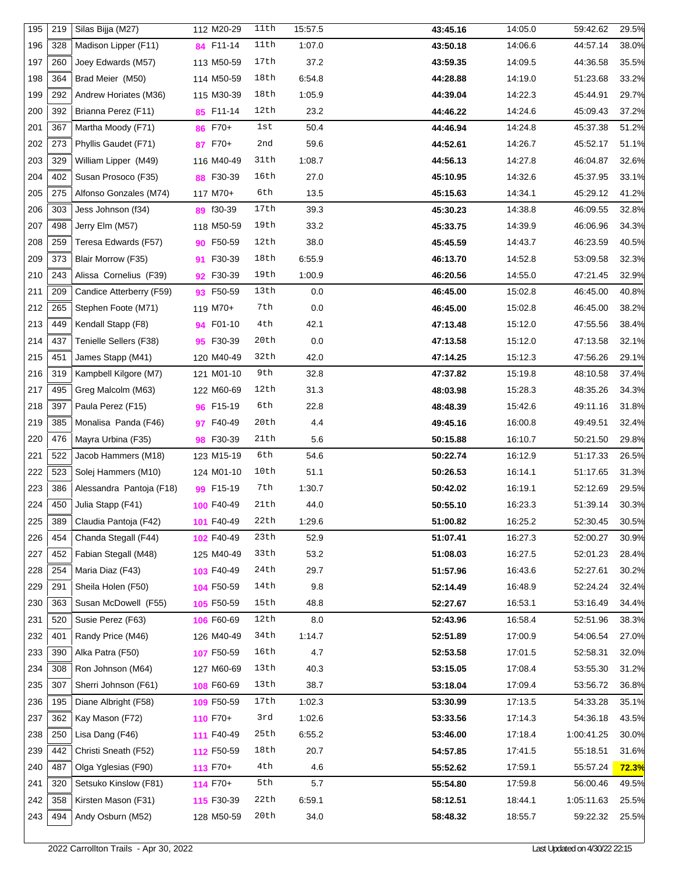| 195 | 219 | Silas Bijja (M27)        | 112 M20-29       | 11th | 15:57.5 | 43:45.16 | 14:05.0 | 59:42.62   | 29.5%        |
|-----|-----|--------------------------|------------------|------|---------|----------|---------|------------|--------------|
| 196 | 328 | Madison Lipper (F11)     | 84 F11-14        | 11th | 1:07.0  | 43:50.18 | 14:06.6 | 44:57.14   | 38.0%        |
| 197 | 260 | Joey Edwards (M57)       | 113 M50-59       | 17th | 37.2    | 43:59.35 | 14:09.5 | 44:36.58   | 35.5%        |
| 198 | 364 | Brad Meier (M50)         | 114 M50-59       | 18th | 6:54.8  | 44:28.88 | 14:19.0 | 51:23.68   | 33.2%        |
| 199 | 292 | Andrew Horiates (M36)    | 115 M30-39       | 18th | 1:05.9  | 44:39.04 | 14:22.3 | 45:44.91   | 29.7%        |
| 200 | 392 | Brianna Perez (F11)      | 85 F11-14        | 12th | 23.2    | 44:46.22 | 14:24.6 | 45:09.43   | 37.2%        |
| 201 | 367 | Martha Moody (F71)       | 86 F70+          | 1st  | 50.4    | 44:46.94 | 14:24.8 | 45:37.38   | 51.2%        |
| 202 | 273 | Phyllis Gaudet (F71)     | 87 F70+          | 2nd  | 59.6    | 44:52.61 | 14:26.7 | 45:52.17   | 51.1%        |
| 203 | 329 | William Lipper (M49)     | 116 M40-49       | 31th | 1:08.7  | 44:56.13 | 14:27.8 | 46:04.87   | 32.6%        |
| 204 | 402 | Susan Prosoco (F35)      | 88 F30-39        | 16th | 27.0    | 45:10.95 | 14:32.6 | 45:37.95   | 33.1%        |
| 205 | 275 | Alfonso Gonzales (M74)   | 117 M70+         | 6th  | 13.5    | 45:15.63 | 14:34.1 | 45:29.12   | 41.2%        |
| 206 | 303 | Jess Johnson (f34)       | 89 f30-39        | 17th | 39.3    | 45:30.23 | 14:38.8 | 46:09.55   | 32.8%        |
| 207 | 498 | Jerry Elm (M57)          | 118 M50-59       | 19th | 33.2    | 45:33.75 | 14:39.9 | 46:06.96   | 34.3%        |
| 208 | 259 | Teresa Edwards (F57)     | 90 F50-59        | 12th | 38.0    | 45:45.59 | 14:43.7 | 46:23.59   | 40.5%        |
| 209 | 373 | Blair Morrow (F35)       | F30-39<br>91     | 18th | 6:55.9  | 46:13.70 | 14:52.8 | 53:09.58   | 32.3%        |
| 210 | 243 | Alissa Cornelius (F39)   | 92 F30-39        | 19th | 1:00.9  | 46:20.56 | 14:55.0 | 47:21.45   | 32.9%        |
| 211 | 209 | Candice Atterberry (F59) | 93 F50-59        | 13th | 0.0     | 46:45.00 | 15:02.8 | 46:45.00   | 40.8%        |
| 212 | 265 | Stephen Foote (M71)      | 119 M70+         | 7th  | 0.0     | 46:45.00 | 15:02.8 | 46:45.00   | 38.2%        |
| 213 | 449 | Kendall Stapp (F8)       | <b>94 F01-10</b> | 4th  | 42.1    | 47:13.48 | 15:12.0 | 47:55.56   | 38.4%        |
| 214 | 437 | Tenielle Sellers (F38)   | 95 F30-39        | 20th | 0.0     | 47:13.58 | 15:12.0 | 47:13.58   | 32.1%        |
| 215 | 451 | James Stapp (M41)        | 120 M40-49       | 32th | 42.0    | 47:14.25 | 15:12.3 | 47:56.26   | 29.1%        |
| 216 | 319 | Kampbell Kilgore (M7)    | 121 M01-10       | 9th  | 32.8    | 47:37.82 | 15:19.8 | 48:10.58   | 37.4%        |
| 217 | 495 | Greg Malcolm (M63)       | 122 M60-69       | 12th | 31.3    | 48:03.98 | 15:28.3 | 48:35.26   | 34.3%        |
| 218 | 397 | Paula Perez (F15)        | 96 F15-19        | 6th  | 22.8    | 48:48.39 | 15:42.6 | 49:11.16   | 31.8%        |
| 219 | 385 | Monalisa Panda (F46)     | F40-49<br>97     | 20th | 4.4     | 49:45.16 | 16:00.8 | 49:49.51   | 32.4%        |
| 220 | 476 | Mayra Urbina (F35)       | 98 F30-39        | 21th | 5.6     | 50:15.88 | 16:10.7 | 50:21.50   | 29.8%        |
| 221 | 522 | Jacob Hammers (M18)      | 123 M15-19       | 6th  | 54.6    | 50:22.74 | 16:12.9 | 51:17.33   | 26.5%        |
| 222 | 523 | Solej Hammers (M10)      | 124 M01-10       | 10th | 51.1    | 50:26.53 | 16:14.1 | 51:17.65   | 31.3%        |
| 223 | 386 | Alessandra Pantoja (F18) | 99 F15-19        | 7th  | 1:30.7  | 50:42.02 | 16:19.1 | 52:12.69   | 29.5%        |
| 224 | 450 | Julia Stapp (F41)        | 100 F40-49       | 21th | 44.0    | 50:55.10 | 16:23.3 | 51:39.14   | 30.3%        |
| 225 | 389 | Claudia Pantoja (F42)    | 101 F40-49       | 22th | 1:29.6  | 51:00.82 | 16:25.2 | 52:30.45   | 30.5%        |
| 226 | 454 | Chanda Stegall (F44)     | 102 F40-49       | 23th | 52.9    | 51:07.41 | 16:27.3 | 52:00.27   | 30.9%        |
| 227 | 452 | Fabian Stegall (M48)     | 125 M40-49       | 33th | 53.2    | 51:08.03 | 16:27.5 | 52:01.23   | 28.4%        |
| 228 | 254 | Maria Diaz (F43)         | 103 F40-49       | 24th | 29.7    | 51:57.96 | 16:43.6 | 52:27.61   | 30.2%        |
| 229 | 291 | Sheila Holen (F50)       | 104 F50-59       | 14th | 9.8     | 52:14.49 | 16:48.9 | 52:24.24   | 32.4%        |
| 230 | 363 | Susan McDowell (F55)     | 105 F50-59       | 15th | 48.8    | 52:27.67 | 16:53.1 | 53:16.49   | 34.4%        |
| 231 | 520 | Susie Perez (F63)        | 106 F60-69       | 12th | 8.0     | 52:43.96 | 16:58.4 | 52:51.96   | 38.3%        |
| 232 | 401 | Randy Price (M46)        | 126 M40-49       | 34th | 1:14.7  | 52:51.89 | 17:00.9 | 54:06.54   | 27.0%        |
| 233 | 390 | Alka Patra (F50)         | 107 F50-59       | 16th | 4.7     | 52:53.58 | 17:01.5 | 52:58.31   | 32.0%        |
| 234 | 308 | Ron Johnson (M64)        | 127 M60-69       | 13th | 40.3    | 53:15.05 | 17:08.4 | 53:55.30   | 31.2%        |
| 235 | 307 | Sherri Johnson (F61)     | 108 F60-69       | 13th | 38.7    | 53:18.04 | 17:09.4 | 53:56.72   | 36.8%        |
| 236 | 195 | Diane Albright (F58)     | 109 F50-59       | 17th | 1:02.3  | 53:30.99 | 17:13.5 | 54:33.28   | 35.1%        |
| 237 | 362 | Kay Mason (F72)          | 110 F70+         | 3rd  | 1:02.6  | 53:33.56 | 17:14.3 | 54:36.18   | 43.5%        |
| 238 | 250 | Lisa Dang (F46)          | 111 F40-49       | 25th | 6:55.2  | 53:46.00 | 17:18.4 | 1:00:41.25 | 30.0%        |
| 239 | 442 | Christi Sneath (F52)     | 112 F50-59       | 18th | 20.7    | 54:57.85 | 17:41.5 | 55:18.51   | 31.6%        |
| 240 | 487 | Olga Yglesias (F90)      | 113 F70+         | 4th  | 4.6     | 55:52.62 | 17:59.1 | 55:57.24   | <b>72.3%</b> |
| 241 | 320 | Setsuko Kinslow (F81)    | 114 F70+         | 5th  | 5.7     | 55:54.80 | 17:59.8 | 56:00.46   | 49.5%        |
| 242 | 358 | Kirsten Mason (F31)      | 115 F30-39       | 22th | 6:59.1  | 58:12.51 | 18:44.1 | 1:05:11.63 | 25.5%        |
| 243 | 494 | Andy Osburn (M52)        | 128 M50-59       | 20th | 34.0    | 58:48.32 | 18:55.7 | 59:22.32   | 25.5%        |
|     |     |                          |                  |      |         |          |         |            |              |